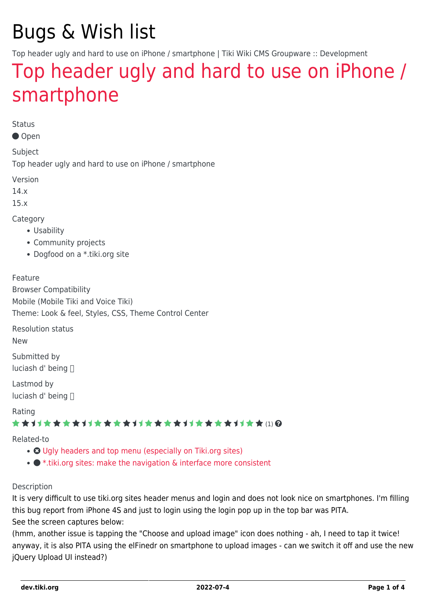# Bugs & Wish list

Top header ugly and hard to use on iPhone / smartphone | Tiki Wiki CMS Groupware :: Development

## [Top header ugly and hard to use on iPhone /](https://dev.tiki.org/item5851-Top-header-ugly-and-hard-to-use-on-iPhone-smartphone) [smartphone](https://dev.tiki.org/item5851-Top-header-ugly-and-hard-to-use-on-iPhone-smartphone)

Status

Open

Subject

Top header ugly and hard to use on iPhone / smartphone

Version

14.x

15.x

Category

- Usability
- Community projects
- Dogfood on a \*.tiki.org site

Feature

Browser Compatibility Mobile (Mobile Tiki and Voice Tiki) Theme: Look & feel, Styles, CSS, Theme Control Center

Resolution status

New

Submitted by luciash d' being

Lastmod by luciash d' being

Rating

#### **★★**11★★★★11★★★★11★★★★11★★★★11★★ (!) @

Related-to

- **O** [Ugly headers and top menu \(especially on Tiki.org sites\)](https://dev.tiki.org/item5440-Ugly-headers-and-top-menu-especially-on-Tiki-org-sites)
- $\bullet$  [\\*.tiki.org sites: make the navigation & interface more consistent](https://dev.tiki.org/item5386--tiki-org-sites-make-the-navigation-interface-more-consistent)

#### Description

It is very difficult to use tiki.org sites header menus and login and does not look nice on smartphones. I'm filling this bug report from iPhone 4S and just to login using the login pop up in the top bar was PITA. See the screen captures below:

(hmm, another issue is tapping the "Choose and upload image" icon does nothing - ah, I need to tap it twice! anyway, it is also PITA using the elFinedr on smartphone to upload images - can we switch it off and use the new jQuery Upload UI instead?)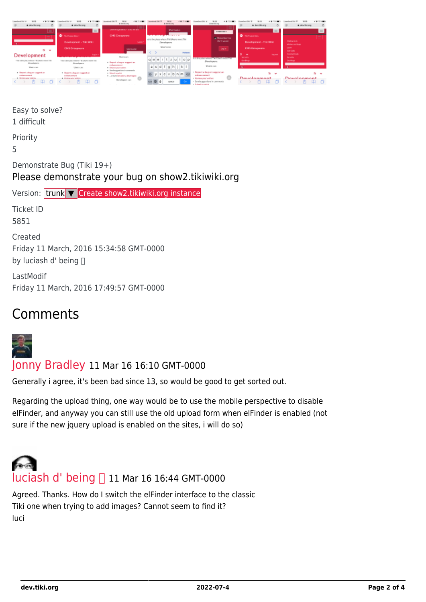| & deviations<br>⋍                                                              | & devilling<br>c.                                                                 | & details any<br>APPROVALMENT CLASS STATE                                                                                       | <b>With contact and the contact</b><br><b>Distribution</b>                      | 96.54<br>A details are:<br>********                                                                 | & deviations                                        | & devilling<br>c                                |
|--------------------------------------------------------------------------------|-----------------------------------------------------------------------------------|---------------------------------------------------------------------------------------------------------------------------------|---------------------------------------------------------------------------------|-----------------------------------------------------------------------------------------------------|-----------------------------------------------------|-------------------------------------------------|
| -                                                                              | ٠<br>Tächnisch Glass<br>Development - Tiki Wiki                                   | <b>CMS Grospware</b><br><b>Louise</b>                                                                                           | <b>Participants</b><br>dails the place where Tiki Users most Tiki<br>Deurlapers | at Remonderine<br>dur travell                                                                       | <b>C</b> Substitution<br>Development - THI Wild-    | - 1<br><b>Making Sills</b><br>Without and Sugar |
| $\sim$<br>Development                                                          | <b>CMS Circupacie</b><br><b>Light</b> is<br>-------------                         | <b>Usersame:</b><br>Usersson                                                                                                    | <b>UNION CALL</b><br><b>Hallman</b>                                             | Legie :<br>__                                                                                       | <b>CMS Greatware</b><br><b>Sing staff</b><br>$\sim$ | <b>Color</b><br>dat Cole<br><b>Connective</b>   |
| This is the place where TSO disect meet TM<br>Directoroni.<br><b>Morrison</b>  | This is the stace related TBI (Digest meet TBI)<br>Dresbann.<br><b>Users can:</b> | . Report a buy or suggest as:<br>andores manage<br>· Regime your midson.                                                        | $q u e r t z u $ i o p<br>asdfghjkl                                             | <b>THE CONSTRUCTION OF A STATE OF A 49</b><br>Developers<br><b>Wear's card</b>                      | Security.<br><b>Charlesto</b>                       | Security.<br><b>Charlesto</b>                   |
| a Bayoni a bug or suggest an<br><b>ENGINEERING</b><br><b>Inview our saldon</b> | Report a beg or suggest an-<br>Manzones<br>A Strahnanshire wider                  | . Interior assumption of the components<br>· Interior analysis<br>a compared to come a developer.<br>$\circ$<br>Developers can: | $c$ v b n m $a$<br>10/808                                                       | Elepant a bug or suggest an<br>enhancement<br>- Raview your widnes.<br>Sond suggestions in comments | Doselenment                                         | Dosalonmont                                     |

Easy to solve? 1 difficult Priority 5 Demonstrate Bug (Tiki 19+) Please demonstrate your bug on show2.tikiwiki.org Version: trunk ▼ [Create show2.tikiwiki.org instance](#page--1-0) Ticket ID 5851 Created Friday 11 March, 2016 15:34:58 GMT-0000 by luciash d' being  $\Box$ LastModif Friday 11 March, 2016 17:49:57 GMT-0000

## Comments



[Jonny Bradley](https://dev.tiki.org/user8515) 11 Mar 16 16:10 GMT-0000

Generally i agree, it's been bad since 13, so would be good to get sorted out.

Regarding the upload thing, one way would be to use the mobile perspective to disable elFinder, and anyway you can still use the old upload form when elFinder is enabled (not sure if the new jquery upload is enabled on the sites, i will do so)



Agreed. Thanks. How do I switch the elFinder interface to the classic Tiki one when trying to add images? Cannot seem to find it? luci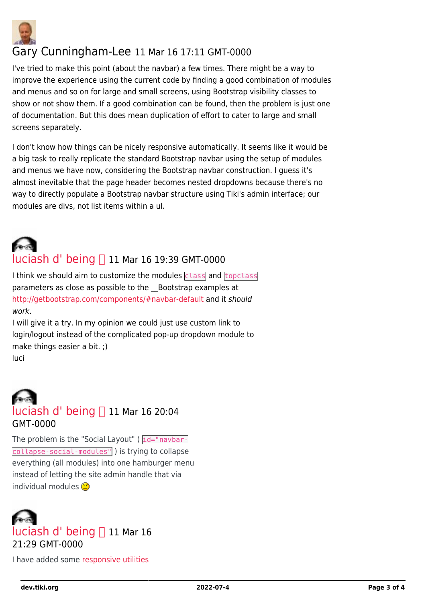

### Gary Cunningham-Lee 11 Mar 16 17:11 GMT-0000

I've tried to make this point (about the navbar) a few times. There might be a way to improve the experience using the current code by finding a good combination of modules and menus and so on for large and small screens, using Bootstrap visibility classes to show or not show them. If a good combination can be found, then the problem is just one of documentation. But this does mean duplication of effort to cater to large and small screens separately.

I don't know how things can be nicely responsive automatically. It seems like it would be a big task to really replicate the standard Bootstrap navbar using the setup of modules and menus we have now, considering the Bootstrap navbar construction. I guess it's almost inevitable that the page header becomes nested dropdowns because there's no way to directly populate a Bootstrap navbar structure using Tiki's admin interface; our modules are divs, not list items within a ul.



### [luciash d' being](https://dev.tiki.org/user199)  $\Box$  11 Mar 16 19:39 GMT-0000

I think we should aim to customize the modules class and topclass parameters as close as possible to the Bootstrap examples at <http://getbootstrap.com/components/#navbar-default>and it should work.

I will give it a try. In my opinion we could just use custom link to login/logout instead of the complicated pop-up dropdown module to make things easier a bit. ;) luci



The problem is the "Social Layout" ( $\overline{id}$ ="navbar- $\overline{\text{collapse}}$ -social-modules" ) is trying to collapse everything (all modules) into one hamburger menu instead of letting the site admin handle that via individual modules



I have added some [responsive utilities](http://getbootstrap.com/css/#responsive-utilities)